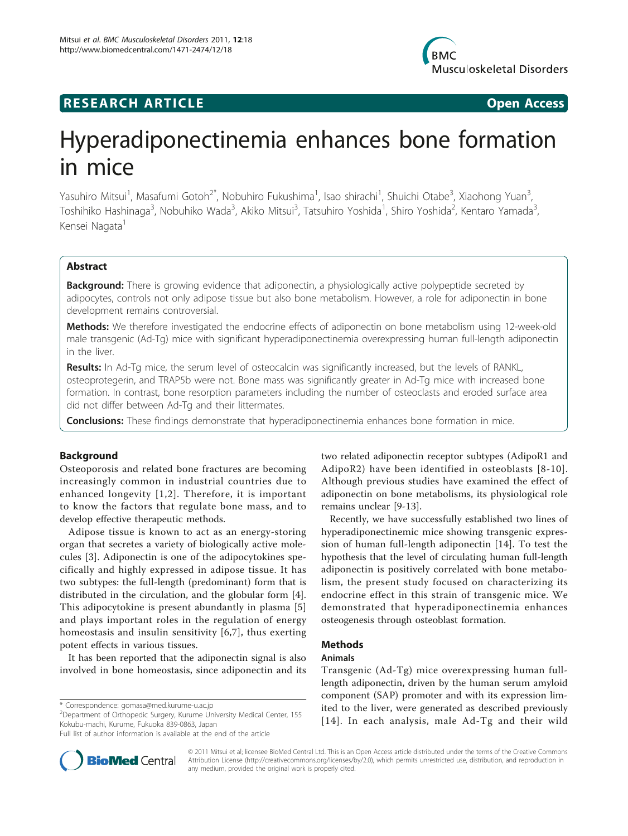## **RESEARCH ARTICLE Example 2018 CONSUMING ACCESS**

# Hyperadiponectinemia enhances bone formation in mice

Yasuhiro Mitsui<sup>1</sup>, Masafumi Gotoh<sup>2\*</sup>, Nobuhiro Fukushima<sup>1</sup>, Isao shirachi<sup>1</sup>, Shuichi Otabe<sup>3</sup>, Xiaohong Yuan<sup>3</sup> , Toshihiko Hashinaga<sup>3</sup>, Nobuhiko Wada<sup>3</sup>, Akiko Mitsui<sup>3</sup>, Tatsuhiro Yoshida<sup>1</sup>, Shiro Yoshida<sup>2</sup>, Kentaro Yamada<sup>3</sup> , Kensei Nagata<sup>1</sup>

## Abstract

**Background:** There is growing evidence that adiponectin, a physiologically active polypeptide secreted by adipocytes, controls not only adipose tissue but also bone metabolism. However, a role for adiponectin in bone development remains controversial.

Methods: We therefore investigated the endocrine effects of adiponectin on bone metabolism using 12-week-old male transgenic (Ad-Tg) mice with significant hyperadiponectinemia overexpressing human full-length adiponectin in the liver.

Results: In Ad-Tg mice, the serum level of osteocalcin was significantly increased, but the levels of RANKL, osteoprotegerin, and TRAP5b were not. Bone mass was significantly greater in Ad-Tg mice with increased bone formation. In contrast, bone resorption parameters including the number of osteoclasts and eroded surface area did not differ between Ad-Tg and their littermates.

**Conclusions:** These findings demonstrate that hyperadiponectinemia enhances bone formation in mice.

## Background

Osteoporosis and related bone fractures are becoming increasingly common in industrial countries due to enhanced longevity [[1](#page-5-0),[2](#page-5-0)]. Therefore, it is important to know the factors that regulate bone mass, and to develop effective therapeutic methods.

Adipose tissue is known to act as an energy-storing organ that secretes a variety of biologically active molecules [[3\]](#page-5-0). Adiponectin is one of the adipocytokines specifically and highly expressed in adipose tissue. It has two subtypes: the full-length (predominant) form that is distributed in the circulation, and the globular form [\[4](#page-5-0)]. This adipocytokine is present abundantly in plasma [\[5](#page-5-0)] and plays important roles in the regulation of energy homeostasis and insulin sensitivity [[6,7](#page-5-0)], thus exerting potent effects in various tissues.

It has been reported that the adiponectin signal is also involved in bone homeostasis, since adiponectin and its

\* Correspondence: [gomasa@med.kurume-u.ac.jp](mailto:gomasa@med.kurume-u.ac.jp)

<sup>2</sup> Department of Orthopedic Surgery, Kurume University Medical Center, 155 Kokubu-machi, Kurume, Fukuoka 839-0863, Japan



Recently, we have successfully established two lines of hyperadiponectinemic mice showing transgenic expression of human full-length adiponectin [[14\]](#page-5-0). To test the hypothesis that the level of circulating human full-length adiponectin is positively correlated with bone metabolism, the present study focused on characterizing its endocrine effect in this strain of transgenic mice. We demonstrated that hyperadiponectinemia enhances osteogenesis through osteoblast formation.

## **Mathods**

#### Animals

Transgenic (Ad-Tg) mice overexpressing human fulllength adiponectin, driven by the human serum amyloid component (SAP) promoter and with its expression limited to the liver, were generated as described previously [[14](#page-5-0)]. In each analysis, male Ad-Tg and their wild



© 2011 Mitsui et al; licensee BioMed Central Ltd. This is an Open Access article distributed under the terms of the Creative Commons Attribution License [\(http://creativecommons.org/licenses/by/2.0](http://creativecommons.org/licenses/by/2.0)), which permits unrestricted use, distribution, and reproduction in any medium, provided the original work is properly cited.

Full list of author information is available at the end of the article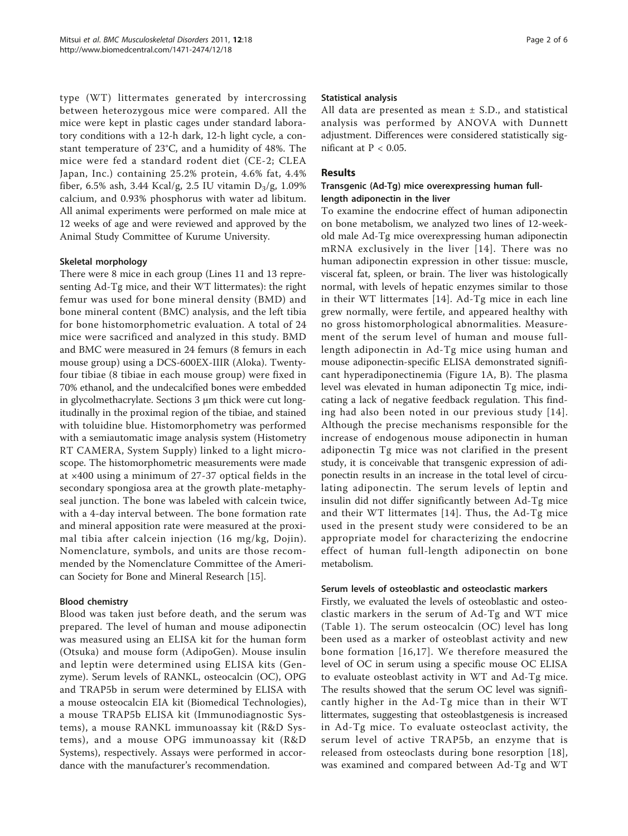type (WT) littermates generated by intercrossing between heterozygous mice were compared. All the mice were kept in plastic cages under standard laboratory conditions with a 12-h dark, 12-h light cycle, a constant temperature of 23°C, and a humidity of 48%. The mice were fed a standard rodent diet (CE-2; CLEA Japan, Inc.) containing 25.2% protein, 4.6% fat, 4.4% fiber, 6.5% ash, 3.44 Kcal/g, 2.5 IU vitamin  $D_3/g$ , 1.09% calcium, and 0.93% phosphorus with water ad libitum. All animal experiments were performed on male mice at 12 weeks of age and were reviewed and approved by the Animal Study Committee of Kurume University.

## Skeletal morphology

There were 8 mice in each group (Lines 11 and 13 representing Ad-Tg mice, and their WT littermates): the right femur was used for bone mineral density (BMD) and bone mineral content (BMC) analysis, and the left tibia for bone histomorphometric evaluation. A total of 24 mice were sacrificed and analyzed in this study. BMD and BMC were measured in 24 femurs (8 femurs in each mouse group) using a DCS-600EX-IIIR (Aloka). Twentyfour tibiae (8 tibiae in each mouse group) were fixed in 70% ethanol, and the undecalcified bones were embedded in glycolmethacrylate. Sections 3 μm thick were cut longitudinally in the proximal region of the tibiae, and stained with toluidine blue. Histomorphometry was performed with a semiautomatic image analysis system (Histometry RT CAMERA, System Supply) linked to a light microscope. The histomorphometric measurements were made at ×400 using a minimum of 27-37 optical fields in the secondary spongiosa area at the growth plate-metaphyseal junction. The bone was labeled with calcein twice, with a 4-day interval between. The bone formation rate and mineral apposition rate were measured at the proximal tibia after calcein injection (16 mg/kg, Dojin). Nomenclature, symbols, and units are those recommended by the Nomenclature Committee of the American Society for Bone and Mineral Research [\[15](#page-5-0)].

#### Blood chemistry

Blood was taken just before death, and the serum was prepared. The level of human and mouse adiponectin was measured using an ELISA kit for the human form (Otsuka) and mouse form (AdipoGen). Mouse insulin and leptin were determined using ELISA kits (Genzyme). Serum levels of RANKL, osteocalcin (OC), OPG and TRAP5b in serum were determined by ELISA with a mouse osteocalcin EIA kit (Biomedical Technologies), a mouse TRAP5b ELISA kit (Immunodiagnostic Systems), a mouse RANKL immunoassay kit (R&D Systems), and a mouse OPG immunoassay kit (R&D Systems), respectively. Assays were performed in accordance with the manufacturer's recommendation.

#### Statistical analysis

All data are presented as mean  $\pm$  S.D., and statistical analysis was performed by ANOVA with Dunnett adjustment. Differences were considered statistically significant at  $P < 0.05$ .

## Results

## Transgenic (Ad-Tg) mice overexpressing human fulllength adiponectin in the liver

To examine the endocrine effect of human adiponectin on bone metabolism, we analyzed two lines of 12-weekold male Ad-Tg mice overexpressing human adiponectin mRNA exclusively in the liver [[14](#page-5-0)]. There was no human adiponectin expression in other tissue: muscle, visceral fat, spleen, or brain. The liver was histologically normal, with levels of hepatic enzymes similar to those in their WT littermates [\[14\]](#page-5-0). Ad-Tg mice in each line grew normally, were fertile, and appeared healthy with no gross histomorphological abnormalities. Measurement of the serum level of human and mouse fulllength adiponectin in Ad-Tg mice using human and mouse adiponectin-specific ELISA demonstrated significant hyperadiponectinemia (Figure [1A, B](#page-2-0)). The plasma level was elevated in human adiponectin Tg mice, indicating a lack of negative feedback regulation. This finding had also been noted in our previous study [[14\]](#page-5-0). Although the precise mechanisms responsible for the increase of endogenous mouse adiponectin in human adiponectin Tg mice was not clarified in the present study, it is conceivable that transgenic expression of adiponectin results in an increase in the total level of circulating adiponectin. The serum levels of leptin and insulin did not differ significantly between Ad-Tg mice and their WT littermates [[14](#page-5-0)]. Thus, the Ad-Tg mice used in the present study were considered to be an appropriate model for characterizing the endocrine effect of human full-length adiponectin on bone metabolism.

## Serum levels of osteoblastic and osteoclastic markers

Firstly, we evaluated the levels of osteoblastic and osteoclastic markers in the serum of Ad-Tg and WT mice (Table [1](#page-2-0)). The serum osteocalcin (OC) level has long been used as a marker of osteoblast activity and new bone formation [[16](#page-5-0),[17](#page-5-0)]. We therefore measured the level of OC in serum using a specific mouse OC ELISA to evaluate osteoblast activity in WT and Ad-Tg mice. The results showed that the serum OC level was significantly higher in the Ad-Tg mice than in their WT littermates, suggesting that osteoblastgenesis is increased in Ad-Tg mice. To evaluate osteoclast activity, the serum level of active TRAP5b, an enzyme that is released from osteoclasts during bone resorption [[18](#page-5-0)], was examined and compared between Ad-Tg and WT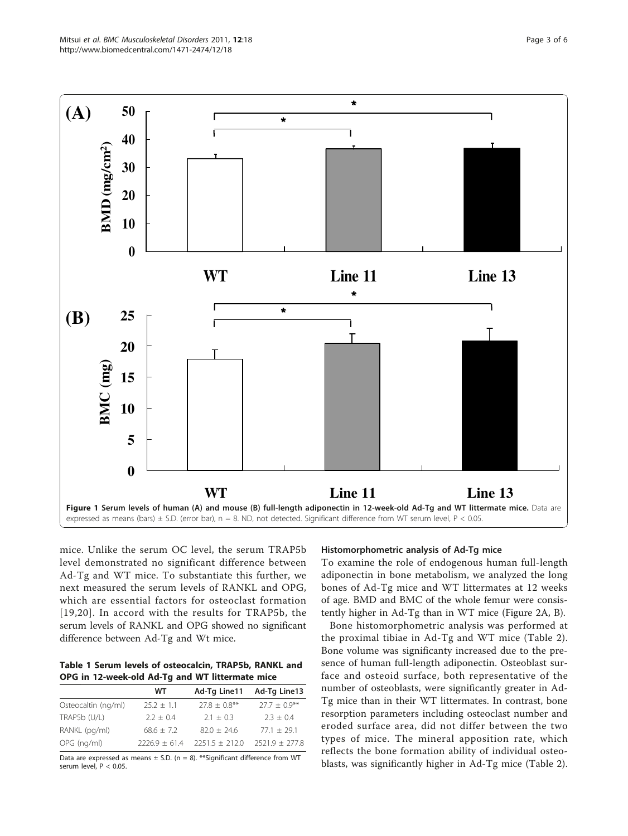<span id="page-2-0"></span>

mice. Unlike the serum OC level, the serum TRAP5b level demonstrated no significant difference between Ad-Tg and WT mice. To substantiate this further, we next measured the serum levels of RANKL and OPG, which are essential factors for osteoclast formation [[19,20](#page-5-0)]. In accord with the results for TRAP5b, the serum levels of RANKL and OPG showed no significant difference between Ad-Tg and Wt mice.

Table 1 Serum levels of osteocalcin, TRAP5b, RANKL and OPG in 12-week-old Ad-Tg and WT littermate mice

|                     | WТ              | Ad-Tg Line11       | Ad-Tg Line13     |
|---------------------|-----------------|--------------------|------------------|
| Osteocaltin (ng/ml) | $252 + 11$      | $77.8 + 0.8***$    | $277 + 09**$     |
| TRAP5b (U/L)        | $2.2 + 0.4$     | $2.1 + 0.3$        | $2.3 + 0.4$      |
| RANKL (pg/ml)       | $68.6 + 7.2$    | $82.0 + 24.6$      | $77.1 + 29.1$    |
| OPG (ng/ml)         | $2226.9 + 61.4$ | $2251.5 \pm 212.0$ | $2521.9 + 277.8$ |

Data are expressed as means  $\pm$  S.D. (n = 8). \*\*Significant difference from WT serum level, P < 0.05.

### Histomorphometric analysis of Ad-Tg mice

To examine the role of endogenous human full-length adiponectin in bone metabolism, we analyzed the long bones of Ad-Tg mice and WT littermates at 12 weeks of age. BMD and BMC of the whole femur were consistently higher in Ad-Tg than in WT mice (Figure [2A, B](#page-3-0)).

Bone histomorphometric analysis was performed at the proximal tibiae in Ad-Tg and WT mice (Table [2](#page-4-0)). Bone volume was significanty increased due to the presence of human full-length adiponectin. Osteoblast surface and osteoid surface, both representative of the number of osteoblasts, were significantly greater in Ad-Tg mice than in their WT littermates. In contrast, bone resorption parameters including osteoclast number and eroded surface area, did not differ between the two types of mice. The mineral apposition rate, which reflects the bone formation ability of individual osteoblasts, was significantly higher in Ad-Tg mice (Table [2](#page-4-0)).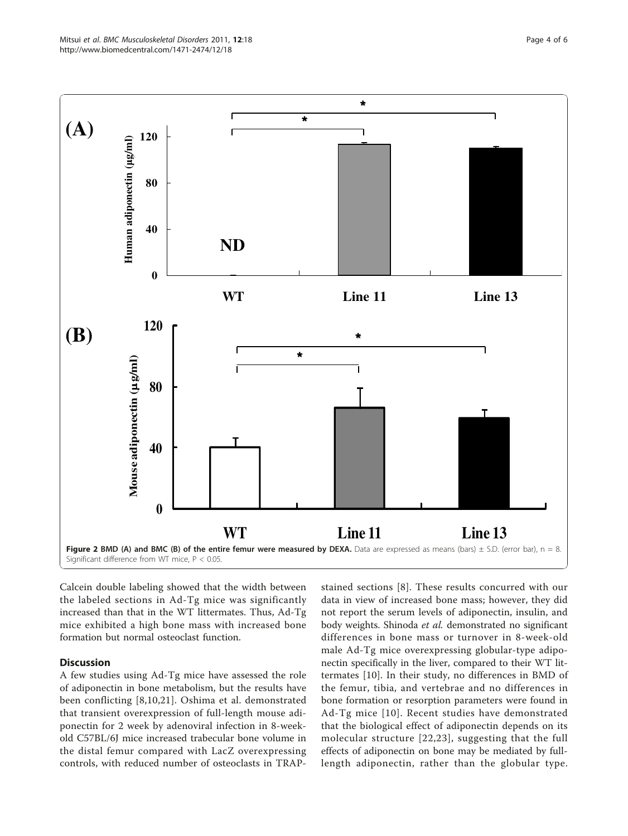<span id="page-3-0"></span>

Calcein double labeling showed that the width between the labeled sections in Ad-Tg mice was significantly increased than that in the WT littermates. Thus, Ad-Tg mice exhibited a high bone mass with increased bone formation but normal osteoclast function.

## **Discussion**

A few studies using Ad-Tg mice have assessed the role of adiponectin in bone metabolism, but the results have been conflicting [[8](#page-5-0),[10,21](#page-5-0)]. Oshima et al. demonstrated that transient overexpression of full-length mouse adiponectin for 2 week by adenoviral infection in 8-weekold C57BL/6J mice increased trabecular bone volume in the distal femur compared with LacZ overexpressing controls, with reduced number of osteoclasts in TRAP-

stained sections [[8\]](#page-5-0). These results concurred with our data in view of increased bone mass; however, they did not report the serum levels of adiponectin, insulin, and body weights. Shinoda et al. demonstrated no significant differences in bone mass or turnover in 8-week-old male Ad-Tg mice overexpressing globular-type adiponectin specifically in the liver, compared to their WT littermates [[10\]](#page-5-0). In their study, no differences in BMD of the femur, tibia, and vertebrae and no differences in bone formation or resorption parameters were found in Ad-Tg mice [[10](#page-5-0)]. Recent studies have demonstrated that the biological effect of adiponectin depends on its molecular structure [[22](#page-5-0),[23\]](#page-5-0), suggesting that the full effects of adiponectin on bone may be mediated by fulllength adiponectin, rather than the globular type.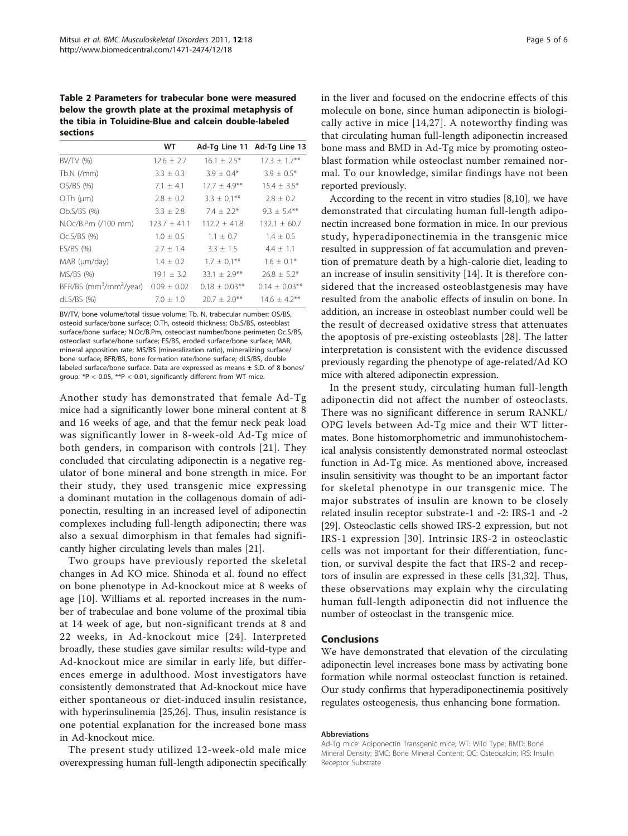<span id="page-4-0"></span>Table 2 Parameters for trabecular bone were measured below the growth plate at the proximal metaphysis of the tibia in Toluidine-Blue and calcein double-labeled sections

|                                                 | WТ               |                    | Ad-Tg Line 11 Ad-Tg Line 13 |
|-------------------------------------------------|------------------|--------------------|-----------------------------|
| BV/TV (%)                                       | $12.6 \pm 2.7$   | $16.1 \pm 2.5^*$   | $17.3 \pm 1.7$ **           |
| $Tb.N$ (/mm)                                    | $3.3 \pm 0.3$    | $3.9 \pm 0.4*$     | $3.9 \pm 0.5*$              |
| OS/BS(%)                                        | $7.1 \pm 4.1$    | $17.7 \pm 4.9***$  | $15.4 \pm 3.5^*$            |
| $O$ . Th $(\mu m)$                              | $2.8 \pm 0.2$    | $3.3 \pm 0.1$ **   | $2.8 \pm 0.2$               |
| Ob.S/BS (%)                                     | $3.3 \pm 2.8$    | $7.4 \pm 2.2^*$    | $9.3 + 5.4***$              |
| N.Oc/B.Pm (/100 mm)                             | $123.7 \pm 41.1$ | $112.2 \pm 41.8$   | $132.1 \pm 60.7$            |
| $Oc.S/BS$ (%)                                   | $1.0 \pm 0.5$    | $1.1 \pm 0.7$      | $1.4 \pm 0.5$               |
| ES/BS(%)                                        | $2.7 \pm 1.4$    | $3.3 \pm 1.5$      | $4.4 \pm 1.1$               |
| MAR (µm/day)                                    | $1.4 \pm 0.2$    | $1.7 \pm 0.1***$   | $1.6 \pm 0.1*$              |
| MS/BS(%)                                        | $19.1 \pm 3.2$   | $33.1 \pm 2.9***$  | $26.8 \pm 5.2*$             |
| BFR/BS (mm <sup>3</sup> /mm <sup>2</sup> /year) | $0.09 \pm 0.02$  | $0.18 \pm 0.03$ ** | $0.14 \pm 0.03$ **          |
| $dLS/BS$ (%)                                    | $7.0 \pm 1.0$    | $20.7 + 2.0***$    | $14.6 \pm 4.2$ **           |

BV/TV, bone volume/total tissue volume; Tb. N, trabecular number; OS/BS, osteoid surface/bone surface; O.Th, osteoid thickness; Ob.S/BS, osteoblast surface/bone surface; N.Oc/B.Pm, osteoclast number/bone perimeter; Oc.S/BS, osteoclast surface/bone surface; ES/BS, eroded surface/bone surface; MAR, mineral apposition rate; MS/BS (mineralization ratio), mineralizing surface/ bone surface; BFR/BS, bone formation rate/bone surface; dLS/BS, double labeled surface/bone surface. Data are expressed as means  $\pm$  S.D. of 8 bones/ group.  $*P < 0.05$ ,  $**P < 0.01$ , significantly different from WT mice.

Another study has demonstrated that female Ad-Tg mice had a significantly lower bone mineral content at 8 and 16 weeks of age, and that the femur neck peak load was significantly lower in 8-week-old Ad-Tg mice of both genders, in comparison with controls [[21\]](#page-5-0). They concluded that circulating adiponectin is a negative regulator of bone mineral and bone strength in mice. For their study, they used transgenic mice expressing a dominant mutation in the collagenous domain of adiponectin, resulting in an increased level of adiponectin complexes including full-length adiponectin; there was also a sexual dimorphism in that females had significantly higher circulating levels than males [[21\]](#page-5-0).

Two groups have previously reported the skeletal changes in Ad KO mice. Shinoda et al. found no effect on bone phenotype in Ad-knockout mice at 8 weeks of age [[10](#page-5-0)]. Williams et al. reported increases in the number of trabeculae and bone volume of the proximal tibia at 14 week of age, but non-significant trends at 8 and 22 weeks, in Ad-knockout mice [[24\]](#page-5-0). Interpreted broadly, these studies gave similar results: wild-type and Ad-knockout mice are similar in early life, but differences emerge in adulthood. Most investigators have consistently demonstrated that Ad-knockout mice have either spontaneous or diet-induced insulin resistance, with hyperinsulinemia [[25,26\]](#page-5-0). Thus, insulin resistance is one potential explanation for the increased bone mass in Ad-knockout mice.

The present study utilized 12-week-old male mice overexpressing human full-length adiponectin specifically in the liver and focused on the endocrine effects of this molecule on bone, since human adiponectin is biologically active in mice [\[14,27\]](#page-5-0). A noteworthy finding was that circulating human full-length adiponectin increased bone mass and BMD in Ad-Tg mice by promoting osteoblast formation while osteoclast number remained normal. To our knowledge, similar findings have not been reported previously.

According to the recent in vitro studies [[8,10\]](#page-5-0), we have demonstrated that circulating human full-length adiponectin increased bone formation in mice. In our previous study, hyperadiponectinemia in the transgenic mice resulted in suppression of fat accumulation and prevention of premature death by a high-calorie diet, leading to an increase of insulin sensitivity [[14\]](#page-5-0). It is therefore considered that the increased osteoblastgenesis may have resulted from the anabolic effects of insulin on bone. In addition, an increase in osteoblast number could well be the result of decreased oxidative stress that attenuates the apoptosis of pre-existing osteoblasts [[28\]](#page-5-0). The latter interpretation is consistent with the evidence discussed previously regarding the phenotype of age-related/Ad KO mice with altered adiponectin expression.

In the present study, circulating human full-length adiponectin did not affect the number of osteoclasts. There was no significant difference in serum RANKL/ OPG levels between Ad-Tg mice and their WT littermates. Bone histomorphometric and immunohistochemical analysis consistently demonstrated normal osteoclast function in Ad-Tg mice. As mentioned above, increased insulin sensitivity was thought to be an important factor for skeletal phenotype in our transgenic mice. The major substrates of insulin are known to be closely related insulin receptor substrate-1 and -2: IRS-1 and -2 [[29\]](#page-5-0). Osteoclastic cells showed IRS-2 expression, but not IRS-1 expression [[30](#page-5-0)]. Intrinsic IRS-2 in osteoclastic cells was not important for their differentiation, function, or survival despite the fact that IRS-2 and receptors of insulin are expressed in these cells [[31,32\]](#page-5-0). Thus, these observations may explain why the circulating human full-length adiponectin did not influence the number of osteoclast in the transgenic mice.

#### Conclusions

We have demonstrated that elevation of the circulating adiponectin level increases bone mass by activating bone formation while normal osteoclast function is retained. Our study confirms that hyperadiponectinemia positively regulates osteogenesis, thus enhancing bone formation.

#### Abbreviations

Ad-Tg mice: Adiponectin Transgenic mice; WT: Wild Type; BMD: Bone Mineral Density; BMC: Bone Mineral Content; OC: Osteocalcin; IRS: Insulin Receptor Substrate